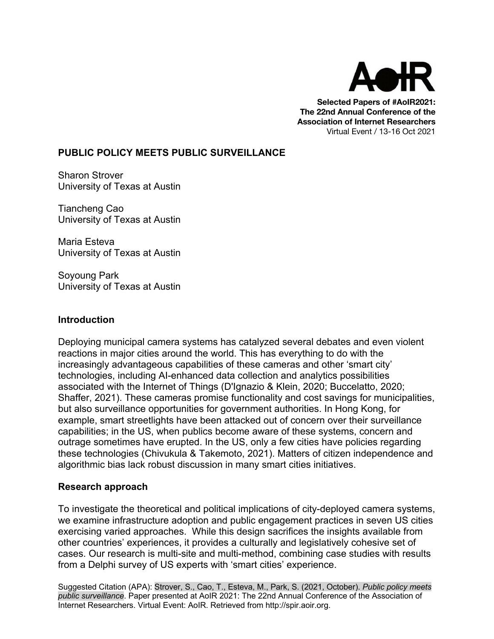

**Selected Papers of #AoIR2021: The 22nd Annual Conference of the Association of Internet Researchers** Virtual Event / 13-16 Oct 2021

#### **PUBLIC POLICY MEETS PUBLIC SURVEILLANCE**

Sharon Strover University of Texas at Austin

Tiancheng Cao University of Texas at Austin

Maria Esteva University of Texas at Austin

Soyoung Park University of Texas at Austin

## **Introduction**

Deploying municipal camera systems has catalyzed several debates and even violent reactions in major cities around the world. This has everything to do with the increasingly advantageous capabilities of these cameras and other 'smart city' technologies, including AI-enhanced data collection and analytics possibilities associated with the Internet of Things (D'Ignazio & Klein, 2020; Buccelatto, 2020; Shaffer, 2021). These cameras promise functionality and cost savings for municipalities, but also surveillance opportunities for government authorities. In Hong Kong, for example, smart streetlights have been attacked out of concern over their surveillance capabilities; in the US, when publics become aware of these systems, concern and outrage sometimes have erupted. In the US, only a few cities have policies regarding these technologies (Chivukula & Takemoto, 2021). Matters of citizen independence and algorithmic bias lack robust discussion in many smart cities initiatives.

#### **Research approach**

To investigate the theoretical and political implications of city-deployed camera systems, we examine infrastructure adoption and public engagement practices in seven US cities exercising varied approaches. While this design sacrifices the insights available from other countries' experiences, it provides a culturally and legislatively cohesive set of cases. Our research is multi-site and multi-method, combining case studies with results from a Delphi survey of US experts with 'smart cities' experience.

Suggested Citation (APA): Strover, S., Cao, T., Esteva, M., Park, S. (2021, October). *Public policy meets public surveillance*. Paper presented at AoIR 2021: The 22nd Annual Conference of the Association of Internet Researchers. Virtual Event: AoIR. Retrieved from http://spir.aoir.org.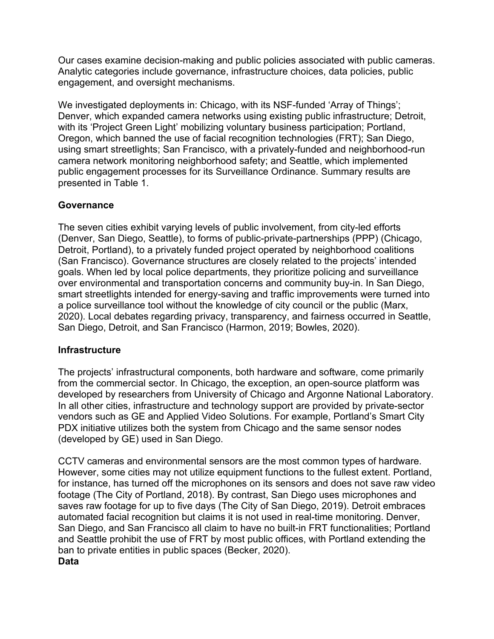Our cases examine decision-making and public policies associated with public cameras. Analytic categories include governance, infrastructure choices, data policies, public engagement, and oversight mechanisms.

We investigated deployments in: Chicago, with its NSF-funded 'Array of Things'; Denver, which expanded camera networks using existing public infrastructure; Detroit, with its 'Project Green Light' mobilizing voluntary business participation; Portland, Oregon, which banned the use of facial recognition technologies (FRT); San Diego, using smart streetlights; San Francisco, with a privately-funded and neighborhood-run camera network monitoring neighborhood safety; and Seattle, which implemented public engagement processes for its Surveillance Ordinance. Summary results are presented in Table 1.

# **Governance**

The seven cities exhibit varying levels of public involvement, from city-led efforts (Denver, San Diego, Seattle), to forms of public-private-partnerships (PPP) (Chicago, Detroit, Portland), to a privately funded project operated by neighborhood coalitions (San Francisco). Governance structures are closely related to the projects' intended goals. When led by local police departments, they prioritize policing and surveillance over environmental and transportation concerns and community buy-in. In San Diego, smart streetlights intended for energy-saving and traffic improvements were turned into a police surveillance tool without the knowledge of city council or the public (Marx, 2020). Local debates regarding privacy, transparency, and fairness occurred in Seattle, San Diego, Detroit, and San Francisco (Harmon, 2019; Bowles, 2020).

## **Infrastructure**

The projects' infrastructural components, both hardware and software, come primarily from the commercial sector. In Chicago, the exception, an open-source platform was developed by researchers from University of Chicago and Argonne National Laboratory. In all other cities, infrastructure and technology support are provided by private-sector vendors such as GE and Applied Video Solutions. For example, Portland's Smart City PDX initiative utilizes both the system from Chicago and the same sensor nodes (developed by GE) used in San Diego.

CCTV cameras and environmental sensors are the most common types of hardware. However, some cities may not utilize equipment functions to the fullest extent. Portland, for instance, has turned off the microphones on its sensors and does not save raw video footage (The City of Portland, 2018). By contrast, San Diego uses microphones and saves raw footage for up to five days (The City of San Diego, 2019). Detroit embraces automated facial recognition but claims it is not used in real-time monitoring. Denver, San Diego, and San Francisco all claim to have no built-in FRT functionalities; Portland and Seattle prohibit the use of FRT by most public offices, with Portland extending the ban to private entities in public spaces (Becker, 2020). **Data**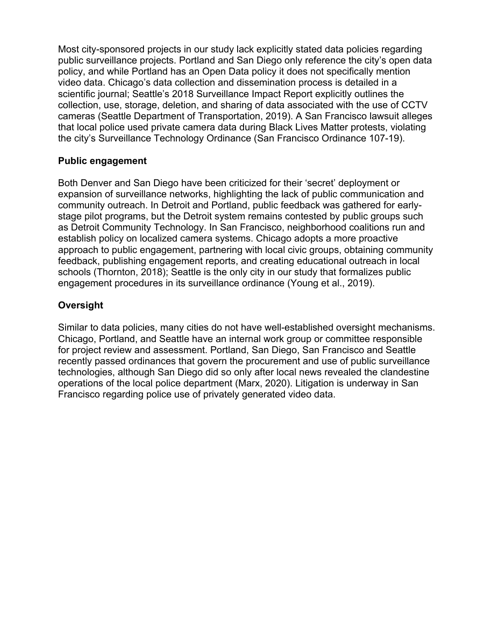Most city-sponsored projects in our study lack explicitly stated data policies regarding public surveillance projects. Portland and San Diego only reference the city's open data policy, and while Portland has an Open Data policy it does not specifically mention video data. Chicago's data collection and dissemination process is detailed in a scientific journal; Seattle's 2018 Surveillance Impact Report explicitly outlines the collection, use, storage, deletion, and sharing of data associated with the use of CCTV cameras (Seattle Department of Transportation, 2019). A San Francisco lawsuit alleges that local police used private camera data during Black Lives Matter protests, violating the city's Surveillance Technology Ordinance (San Francisco Ordinance 107-19).

## **Public engagement**

Both Denver and San Diego have been criticized for their 'secret' deployment or expansion of surveillance networks, highlighting the lack of public communication and community outreach. In Detroit and Portland, public feedback was gathered for earlystage pilot programs, but the Detroit system remains contested by public groups such as Detroit Community Technology. In San Francisco, neighborhood coalitions run and establish policy on localized camera systems. Chicago adopts a more proactive approach to public engagement, partnering with local civic groups, obtaining community feedback, publishing engagement reports, and creating educational outreach in local schools (Thornton, 2018); Seattle is the only city in our study that formalizes public engagement procedures in its surveillance ordinance (Young et al., 2019).

# **Oversight**

Similar to data policies, many cities do not have well-established oversight mechanisms. Chicago, Portland, and Seattle have an internal work group or committee responsible for project review and assessment. Portland, San Diego, San Francisco and Seattle recently passed ordinances that govern the procurement and use of public surveillance technologies, although San Diego did so only after local news revealed the clandestine operations of the local police department (Marx, 2020). Litigation is underway in San Francisco regarding police use of privately generated video data.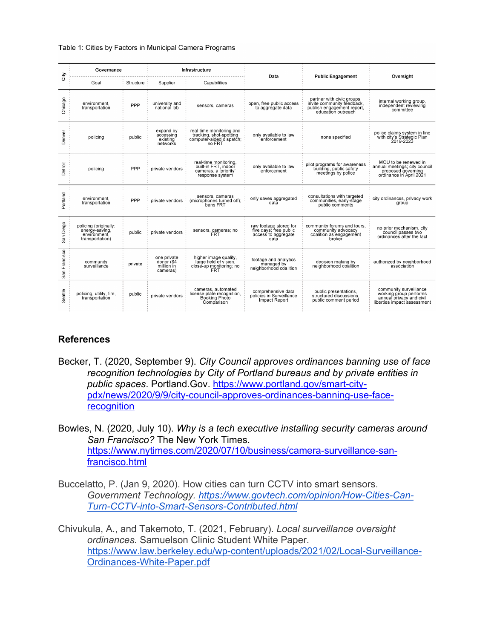#### Table 1: Cities by Factors in Municipal Camera Programs

| Ğ             | Governance                                                                 |           | Infrastructure                                      |                                                                                           | Data                                                                            | <b>Public Engagement</b>                                                                                     | Oversight                                                                                                   |
|---------------|----------------------------------------------------------------------------|-----------|-----------------------------------------------------|-------------------------------------------------------------------------------------------|---------------------------------------------------------------------------------|--------------------------------------------------------------------------------------------------------------|-------------------------------------------------------------------------------------------------------------|
|               | Goal                                                                       | Structure | Supplier                                            | Capabilities                                                                              |                                                                                 |                                                                                                              |                                                                                                             |
| Chicago       | environment.<br>transportation                                             | PPP       | university and<br>national lab                      | sensors, cameras                                                                          | open, free public access<br>to aggregate data                                   | partner with civic groups,<br>invite community feedback,<br>publish engagement report,<br>education outreach | internal working group,<br>independent reviewing<br>committee                                               |
| Denver        | policing                                                                   | public    | expand by<br>accessing<br>existing<br>networks      | real-time monitoring and<br>tracking, shot-spotting<br>computer-aided dispatch:<br>no FRT | only available to law<br>enforcement                                            | none specified                                                                                               | police claims system in line<br>with city's Strategic Plan<br>2019-2023                                     |
| Detroit       | policing                                                                   | PPP       | private vendors                                     | real-time monitoring.<br>built-in FRT, indoor<br>cameras, a 'priority'<br>response system | only available to law<br>enforcement                                            | pilot programs for awareness<br>building, public safety<br>meetings by police                                | MOU to be renewed in<br>annual meetings; city council<br>proposed governing<br>ordinance in April 2021      |
| Portland      | environment.<br>transportation                                             | PPP       | private vendors                                     | sensors, cameras<br>(microphones turned off);<br>bans FRT                                 | only saves aggregated<br>datā                                                   | consultations with targeted<br>communities, early-stage<br>public comments                                   | city ordinances, privacy work<br>group                                                                      |
| San Diego     | policing (originally:<br>energy-saving,<br>environment.<br>transportation) | public    | private vendors                                     | sensors, cameras; no<br><b>FRT</b>                                                        | raw footage stored for<br>five days; free public<br>access to aggregate<br>data | community forums and tours,<br>community advocacy<br>coalition as engagement<br>broker                       | no prior mechanism, city<br>council passes two<br>ordinances after the fact                                 |
| San Francisco | community<br>surveillance                                                  | private   | one private<br>donor (\$4<br>million in<br>cameras) | higher image quality,<br>large field of vision.<br>close-up monitoring; no<br><b>FRT</b>  | footage and analytics<br>managed by<br>neighborhood coalition                   | decision making by<br>neighborhood coalition                                                                 | authorized by neighborhood<br>association                                                                   |
| Seattle       | policing, utility, fire,<br>transportation                                 | public    | private vendors                                     | cameras, automated<br>license plate recognition.<br>Booking Photo<br>Comparison           | comprehensive data<br>policies in Surveillance<br>Impact Report                 | public presentations.<br>structured discussions.<br>public comment period                                    | community surveillance<br>working group performs<br>annual privacy and civil<br>liberties impact assessment |

# **References**

- Becker, T. (2020, September 9). *City Council approves ordinances banning use of face recognition technologies by City of Portland bureaus and by private entities in public spaces*. Portland.Gov. https://www.portland.gov/smart-citypdx/news/2020/9/9/city-council-approves-ordinances-banning-use-facerecognition
- Bowles, N. (2020, July 10). *Why is a tech executive installing security cameras around San Francisco?* The New York Times. https://www.nytimes.com/2020/07/10/business/camera-surveillance-sanfrancisco.html
- Buccelatto, P. (Jan 9, 2020). How cities can turn CCTV into smart sensors. *Government Technology. https://www.govtech.com/opinion/How-Cities-Can-Turn-CCTV-into-Smart-Sensors-Contributed.html*
- Chivukula, A., and Takemoto, T. (2021, February). *Local surveillance oversight ordinances.* Samuelson Clinic Student White Paper. https://www.law.berkeley.edu/wp-content/uploads/2021/02/Local-Surveillance-Ordinances-White-Paper.pdf